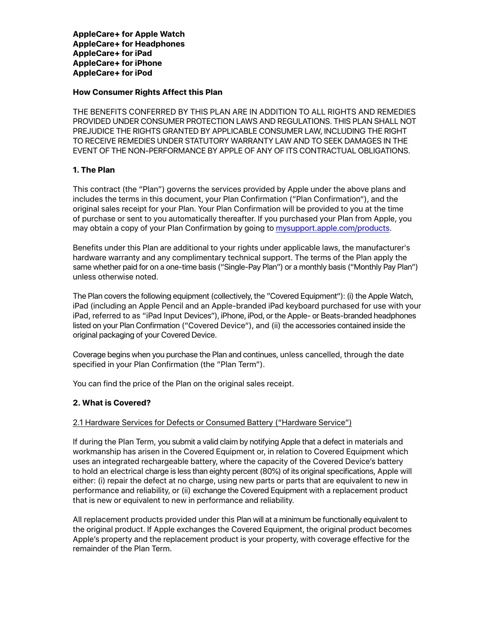**AppleCare+ for Apple Watch AppleCare+ for Headphones AppleCare+ for iPad AppleCare+ for iPhone AppleCare+ for iPod** 

#### **How Consumer Rights Affect this Plan**

THE BENEFITS CONFERRED BY THIS PLAN ARE IN ADDITION TO ALL RIGHTS AND REMEDIES PROVIDED UNDER CONSUMER PROTECTION LAWS AND REGULATIONS. THIS PLAN SHALL NOT PREJUDICE THE RIGHTS GRANTED BY APPLICABLE CONSUMER LAW, INCLUDING THE RIGHT TO RECEIVE REMEDIES UNDER STATUTORY WARRANTY LAW AND TO SEEK DAMAGES IN THE EVENT OF THE NON-PERFORMANCE BY APPLE OF ANY OF ITS CONTRACTUAL OBLIGATIONS.

## **1. The Plan**

This contract (the "Plan") governs the services provided by Apple under the above plans and includes the terms in this document, your Plan Confirmation ("Plan Confirmation"), and the original sales receipt for your Plan. Your Plan Confirmation will be provided to you at the time of purchase or sent to you automatically thereafter. If you purchased your Plan from Apple, you may obtain a copy of your Plan Confirmation by going to [mysupport.apple.com/products.](http://mysupport.apple.com/products)

Benefits under this Plan are additional to your rights under applicable laws, the manufacturer's hardware warranty and any complimentary technical support. The terms of the Plan apply the same whether paid for on a one-time basis ("Single-Pay Plan") or a monthly basis ("Monthly Pay Plan") unless otherwise noted.

The Plan covers the following equipment (collectively, the "Covered Equipment"): (i) the Apple Watch, iPad (including an Apple Pencil and an Apple-branded iPad keyboard purchased for use with your iPad, referred to as "iPad Input Devices"), iPhone, iPod, or the Apple- or Beats-branded headphones listed on your Plan Confirmation ("Covered Device"), and (ii) the accessories contained inside the original packaging of your Covered Device.

Coverage begins when you purchase the Plan and continues, unless cancelled, through the date specified in your Plan Confirmation (the "Plan Term").

You can find the price of the Plan on the original sales receipt.

# **2. What is Covered?**

#### 2.1 Hardware Services for Defects or Consumed Battery ("Hardware Service")

If during the Plan Term, you submit a valid claim by notifying Apple that a defect in materials and workmanship has arisen in the Covered Equipment or, in relation to Covered Equipment which uses an integrated rechargeable battery, where the capacity of the Covered Device's battery to hold an electrical charge is less than eighty percent (80%) of its original specifications, Apple will either: (i) repair the defect at no charge, using new parts or parts that are equivalent to new in performance and reliability, or (ii) exchange the Covered Equipment with a replacement product that is new or equivalent to new in performance and reliability.

All replacement products provided under this Plan will at a minimum be functionally equivalent to the original product. If Apple exchanges the Covered Equipment, the original product becomes Apple's property and the replacement product is your property, with coverage effective for the remainder of the Plan Term.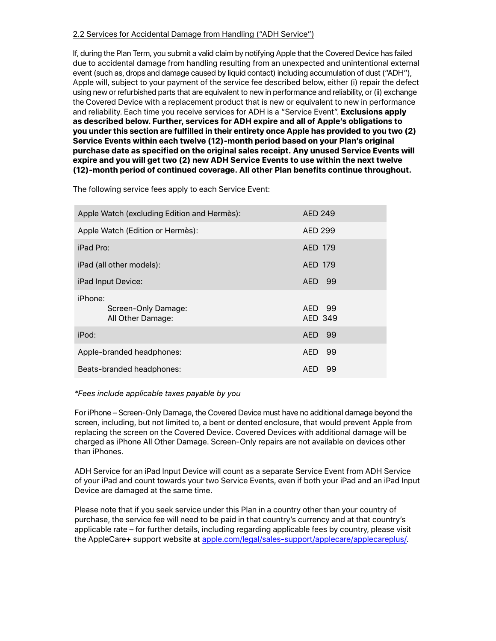## 2.2 Services for Accidental Damage from Handling ("ADH Service")

If, during the Plan Term, you submit a valid claim by notifying Apple that the Covered Device has failed due to accidental damage from handling resulting from an unexpected and unintentional external event (such as, drops and damage caused by liquid contact) including accumulation of dust ("ADH"), Apple will, subject to your payment of the service fee described below, either (i) repair the defect using new or refurbished parts that are equivalent to new in performance and reliability, or (ii) exchange the Covered Device with a replacement product that is new or equivalent to new in performance and reliability. Each time you receive services for ADH is a "Service Event". **Exclusions apply as described below. Further, services for ADH expire and all of Apple's obligations to you under this section are fulfilled in their entirety once Apple has provided to you two (2) Service Events within each twelve (12)-month period based on your Plan's original purchase date as specified on the original sales receipt. Any unused Service Events will expire and you will get two (2) new ADH Service Events to use within the next twelve (12)-month period of continued coverage. All other Plan benefits continue throughout.**

The following service fees apply to each Service Event:

| Apple Watch (excluding Edition and Hermès):         | AED 249           |
|-----------------------------------------------------|-------------------|
| Apple Watch (Edition or Hermès):                    | AED 299           |
| iPad Pro:                                           | AED 179           |
| iPad (all other models):                            | AED 179           |
| iPad Input Device:                                  | AED 99            |
| iPhone:<br>Screen-Only Damage:<br>All Other Damage: | AED 99<br>AED 349 |
| iPod:                                               | AED 99            |
| Apple-branded headphones:                           | AED.<br>99        |
| Beats-branded headphones:                           | 99<br>AED.        |

#### *\*Fees include applicable taxes payable by you*

For iPhone – Screen-Only Damage, the Covered Device must have no additional damage beyond the screen, including, but not limited to, a bent or dented enclosure, that would prevent Apple from replacing the screen on the Covered Device. Covered Devices with additional damage will be charged as iPhone All Other Damage. Screen-Only repairs are not available on devices other than iPhones.

ADH Service for an iPad Input Device will count as a separate Service Event from ADH Service of your iPad and count towards your two Service Events, even if both your iPad and an iPad Input Device are damaged at the same time.

Please note that if you seek service under this Plan in a country other than your country of purchase, the service fee will need to be paid in that country's currency and at that country's applicable rate – for further details, including regarding applicable fees by country, please visit the AppleCare+ support website at [apple.com/legal/sales-support/applecare/applecareplus/.](http://www.apple.com/legal/sales-support/applecare/applecareplus/)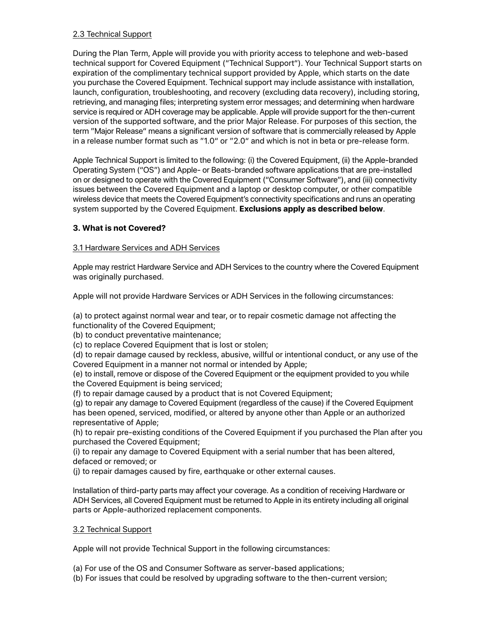# 2.3 Technical Support

During the Plan Term, Apple will provide you with priority access to telephone and web-based technical support for Covered Equipment ("Technical Support"). Your Technical Support starts on expiration of the complimentary technical support provided by Apple, which starts on the date you purchase the Covered Equipment. Technical support may include assistance with installation, launch, configuration, troubleshooting, and recovery (excluding data recovery), including storing, retrieving, and managing files; interpreting system error messages; and determining when hardware service is required or ADH coverage may be applicable. Apple will provide support for the then-current version of the supported software, and the prior Major Release. For purposes of this section, the term "Major Release" means a significant version of software that is commercially released by Apple in a release number format such as "1.0" or "2.0" and which is not in beta or pre-release form.

Apple Technical Support is limited to the following: (i) the Covered Equipment, (ii) the Apple-branded Operating System ("OS") and Apple- or Beats-branded software applications that are pre-installed on or designed to operate with the Covered Equipment ("Consumer Software"), and (iii) connectivity issues between the Covered Equipment and a laptop or desktop computer, or other compatible wireless device that meets the Covered Equipment's connectivity specifications and runs an operating system supported by the Covered Equipment. **Exclusions apply as described below**.

# **3. What is not Covered?**

# 3.1 Hardware Services and ADH Services

Apple may restrict Hardware Service and ADH Services to the country where the Covered Equipment was originally purchased.

Apple will not provide Hardware Services or ADH Services in the following circumstances:

(a) to protect against normal wear and tear, or to repair cosmetic damage not affecting the functionality of the Covered Equipment;

(b) to conduct preventative maintenance;

(c) to replace Covered Equipment that is lost or stolen;

(d) to repair damage caused by reckless, abusive, willful or intentional conduct, or any use of the Covered Equipment in a manner not normal or intended by Apple;

(e) to install, remove or dispose of the Covered Equipment or the equipment provided to you while the Covered Equipment is being serviced;

(f) to repair damage caused by a product that is not Covered Equipment;

(g) to repair any damage to Covered Equipment (regardless of the cause) if the Covered Equipment has been opened, serviced, modified, or altered by anyone other than Apple or an authorized representative of Apple;

(h) to repair pre-existing conditions of the Covered Equipment if you purchased the Plan after you purchased the Covered Equipment;

(i) to repair any damage to Covered Equipment with a serial number that has been altered, defaced or removed; or

(j) to repair damages caused by fire, earthquake or other external causes.

Installation of third-party parts may affect your coverage. As a condition of receiving Hardware or ADH Services, all Covered Equipment must be returned to Apple in its entirety including all original parts or Apple-authorized replacement components.

# 3.2 Technical Support

Apple will not provide Technical Support in the following circumstances:

- (a) For use of the OS and Consumer Software as server-based applications;
- (b) For issues that could be resolved by upgrading software to the then-current version;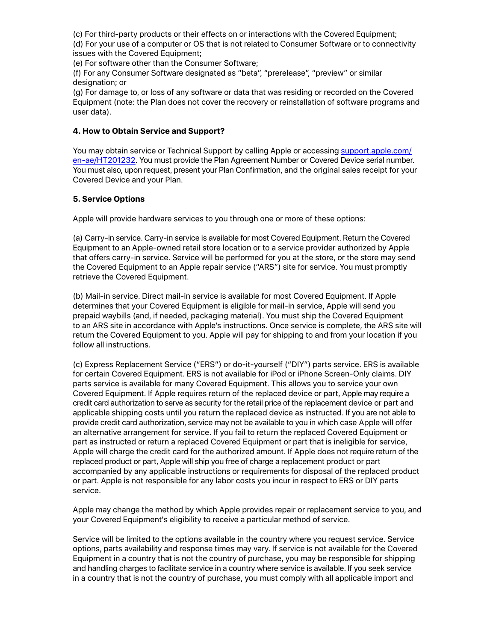(c) For third-party products or their effects on or interactions with the Covered Equipment;

(d) For your use of a computer or OS that is not related to Consumer Software or to connectivity issues with the Covered Equipment;

(e) For software other than the Consumer Software;

(f) For any Consumer Software designated as "beta", "prerelease", "preview" or similar designation; or

(g) For damage to, or loss of any software or data that was residing or recorded on the Covered Equipment (note: the Plan does not cover the recovery or reinstallation of software programs and user data).

## **4. How to Obtain Service and Support?**

You may obtain service or Technical Support by calling Apple or accessing [support.apple.com/](http://support.apple.com/en-ae/HT201232) [en-ae/HT201232](http://support.apple.com/en-ae/HT201232). You must provide the Plan Agreement Number or Covered Device serial number. You must also, upon request, present your Plan Confirmation, and the original sales receipt for your Covered Device and your Plan.

## **5. Service Options**

Apple will provide hardware services to you through one or more of these options:

(a) Carry-in service. Carry-in service is available for most Covered Equipment. Return the Covered Equipment to an Apple-owned retail store location or to a service provider authorized by Apple that offers carry-in service. Service will be performed for you at the store, or the store may send the Covered Equipment to an Apple repair service ("ARS") site for service. You must promptly retrieve the Covered Equipment.

(b) Mail-in service. Direct mail-in service is available for most Covered Equipment. If Apple determines that your Covered Equipment is eligible for mail-in service, Apple will send you prepaid waybills (and, if needed, packaging material). You must ship the Covered Equipment to an ARS site in accordance with Apple's instructions. Once service is complete, the ARS site will return the Covered Equipment to you. Apple will pay for shipping to and from your location if you follow all instructions.

(c) Express Replacement Service ("ERS") or do-it-yourself ("DIY") parts service. ERS is available for certain Covered Equipment. ERS is not available for iPod or iPhone Screen-Only claims. DIY parts service is available for many Covered Equipment. This allows you to service your own Covered Equipment. If Apple requires return of the replaced device or part, Apple may require a credit card authorization to serve as security for the retail price of the replacement device or part and applicable shipping costs until you return the replaced device as instructed. If you are not able to provide credit card authorization, service may not be available to you in which case Apple will offer an alternative arrangement for service. If you fail to return the replaced Covered Equipment or part as instructed or return a replaced Covered Equipment or part that is ineligible for service, Apple will charge the credit card for the authorized amount. If Apple does not require return of the replaced product or part, Apple will ship you free of charge a replacement product or part accompanied by any applicable instructions or requirements for disposal of the replaced product or part. Apple is not responsible for any labor costs you incur in respect to ERS or DIY parts service.

Apple may change the method by which Apple provides repair or replacement service to you, and your Covered Equipment's eligibility to receive a particular method of service.

Service will be limited to the options available in the country where you request service. Service options, parts availability and response times may vary. If service is not available for the Covered Equipment in a country that is not the country of purchase, you may be responsible for shipping and handling charges to facilitate service in a country where service is available. If you seek service in a country that is not the country of purchase, you must comply with all applicable import and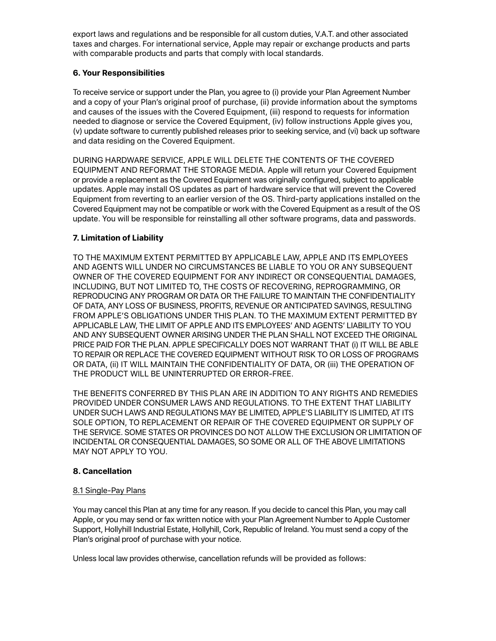export laws and regulations and be responsible for all custom duties, V.A.T. and other associated taxes and charges. For international service, Apple may repair or exchange products and parts with comparable products and parts that comply with local standards.

# **6. Your Responsibilities**

To receive service or support under the Plan, you agree to (i) provide your Plan Agreement Number and a copy of your Plan's original proof of purchase, (ii) provide information about the symptoms and causes of the issues with the Covered Equipment, (iii) respond to requests for information needed to diagnose or service the Covered Equipment, (iv) follow instructions Apple gives you, (v) update software to currently published releases prior to seeking service, and (vi) back up software and data residing on the Covered Equipment.

DURING HARDWARE SERVICE, APPLE WILL DELETE THE CONTENTS OF THE COVERED EQUIPMENT AND REFORMAT THE STORAGE MEDIA. Apple will return your Covered Equipment or provide a replacement as the Covered Equipment was originally configured, subject to applicable updates. Apple may install OS updates as part of hardware service that will prevent the Covered Equipment from reverting to an earlier version of the OS. Third-party applications installed on the Covered Equipment may not be compatible or work with the Covered Equipment as a result of the OS update. You will be responsible for reinstalling all other software programs, data and passwords.

# **7. Limitation of Liability**

TO THE MAXIMUM EXTENT PERMITTED BY APPLICABLE LAW, APPLE AND ITS EMPLOYEES AND AGENTS WILL UNDER NO CIRCUMSTANCES BE LIABLE TO YOU OR ANY SUBSEQUENT OWNER OF THE COVERED EQUIPMENT FOR ANY INDIRECT OR CONSEQUENTIAL DAMAGES, INCLUDING, BUT NOT LIMITED TO, THE COSTS OF RECOVERING, REPROGRAMMING, OR REPRODUCING ANY PROGRAM OR DATA OR THE FAILURE TO MAINTAIN THE CONFIDENTIALITY OF DATA, ANY LOSS OF BUSINESS, PROFITS, REVENUE OR ANTICIPATED SAVINGS, RESULTING FROM APPLE'S OBLIGATIONS UNDER THIS PLAN. TO THE MAXIMUM EXTENT PERMITTED BY APPLICABLE LAW, THE LIMIT OF APPLE AND ITS EMPLOYEES' AND AGENTS' LIABILITY TO YOU AND ANY SUBSEQUENT OWNER ARISING UNDER THE PLAN SHALL NOT EXCEED THE ORIGINAL PRICE PAID FOR THE PLAN. APPLE SPECIFICALLY DOES NOT WARRANT THAT (i) IT WILL BE ABLE TO REPAIR OR REPLACE THE COVERED EQUIPMENT WITHOUT RISK TO OR LOSS OF PROGRAMS OR DATA, (ii) IT WILL MAINTAIN THE CONFIDENTIALITY OF DATA, OR (iii) THE OPERATION OF THE PRODUCT WILL BE UNINTERRUPTED OR ERROR-FREE.

THE BENEFITS CONFERRED BY THIS PLAN ARE IN ADDITION TO ANY RIGHTS AND REMEDIES PROVIDED UNDER CONSUMER LAWS AND REGULATIONS. TO THE EXTENT THAT LIABILITY UNDER SUCH LAWS AND REGULATIONS MAY BE LIMITED, APPLE'S LIABILITY IS LIMITED, AT ITS SOLE OPTION, TO REPLACEMENT OR REPAIR OF THE COVERED EQUIPMENT OR SUPPLY OF THE SERVICE. SOME STATES OR PROVINCES DO NOT ALLOW THE EXCLUSION OR LIMITATION OF INCIDENTAL OR CONSEQUENTIAL DAMAGES, SO SOME OR ALL OF THE ABOVE LIMITATIONS MAY NOT APPLY TO YOU.

# **8. Cancellation**

#### 8.1 Single-Pay Plans

You may cancel this Plan at any time for any reason. If you decide to cancel this Plan, you may call Apple, or you may send or fax written notice with your Plan Agreement Number to Apple Customer Support, Hollyhill Industrial Estate, Hollyhill, Cork, Republic of Ireland. You must send a copy of the Plan's original proof of purchase with your notice.

Unless local law provides otherwise, cancellation refunds will be provided as follows: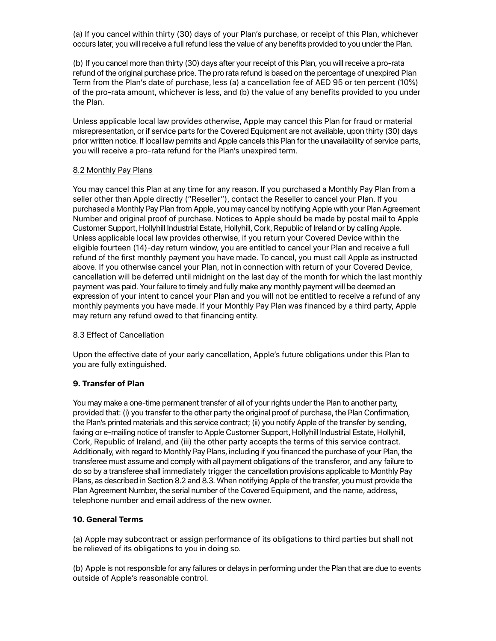(a) If you cancel within thirty (30) days of your Plan's purchase, or receipt of this Plan, whichever occurs later, you will receive a full refund less the value of any benefits provided to you under the Plan.

(b) If you cancel more than thirty (30) days after your receipt of this Plan, you will receive a pro-rata refund of the original purchase price. The pro rata refund is based on the percentage of unexpired Plan Term from the Plan's date of purchase, less (a) a cancellation fee of AED 95 or ten percent (10%) of the pro-rata amount, whichever is less, and (b) the value of any benefits provided to you under the Plan.

Unless applicable local law provides otherwise, Apple may cancel this Plan for fraud or material misrepresentation, or if service parts for the Covered Equipment are not available, upon thirty (30) days prior written notice. If local law permits and Apple cancels this Plan for the unavailability of service parts, you will receive a pro-rata refund for the Plan's unexpired term.

## 8.2 Monthly Pay Plans

You may cancel this Plan at any time for any reason. If you purchased a Monthly Pay Plan from a seller other than Apple directly ("Reseller"), contact the Reseller to cancel your Plan. If you purchased a Monthly Pay Plan from Apple, you may cancel by notifying Apple with your Plan Agreement Number and original proof of purchase. Notices to Apple should be made by postal mail to Apple Customer Support, Hollyhill Industrial Estate, Hollyhill, Cork, Republic of Ireland or by calling Apple. Unless applicable local law provides otherwise, if you return your Covered Device within the eligible fourteen (14)-day return window, you are entitled to cancel your Plan and receive a full refund of the first monthly payment you have made. To cancel, you must call Apple as instructed above. If you otherwise cancel your Plan, not in connection with return of your Covered Device, cancellation will be deferred until midnight on the last day of the month for which the last monthly payment was paid. Your failure to timely and fully make any monthly payment will be deemed an expression of your intent to cancel your Plan and you will not be entitled to receive a refund of any monthly payments you have made. If your Monthly Pay Plan was financed by a third party, Apple may return any refund owed to that financing entity.

# 8.3 Effect of Cancellation

Upon the effective date of your early cancellation, Apple's future obligations under this Plan to you are fully extinguished.

# **9. Transfer of Plan**

You may make a one-time permanent transfer of all of your rights under the Plan to another party, provided that: (i) you transfer to the other party the original proof of purchase, the Plan Confirmation, the Plan's printed materials and this service contract; (ii) you notify Apple of the transfer by sending, faxing or e-mailing notice of transfer to Apple Customer Support, Hollyhill Industrial Estate, Hollyhill, Cork, Republic of Ireland, and (iii) the other party accepts the terms of this service contract. Additionally, with regard to Monthly Pay Plans, including if you financed the purchase of your Plan, the transferee must assume and comply with all payment obligations of the transferor, and any failure to do so by a transferee shall immediately trigger the cancellation provisions applicable to Monthly Pay Plans, as described in Section 8.2 and 8.3. When notifying Apple of the transfer, you must provide the Plan Agreement Number, the serial number of the Covered Equipment, and the name, address, telephone number and email address of the new owner.

# **10. General Terms**

(a) Apple may subcontract or assign performance of its obligations to third parties but shall not be relieved of its obligations to you in doing so.

(b) Apple is not responsible for any failures or delays in performing under the Plan that are due to events outside of Apple's reasonable control.